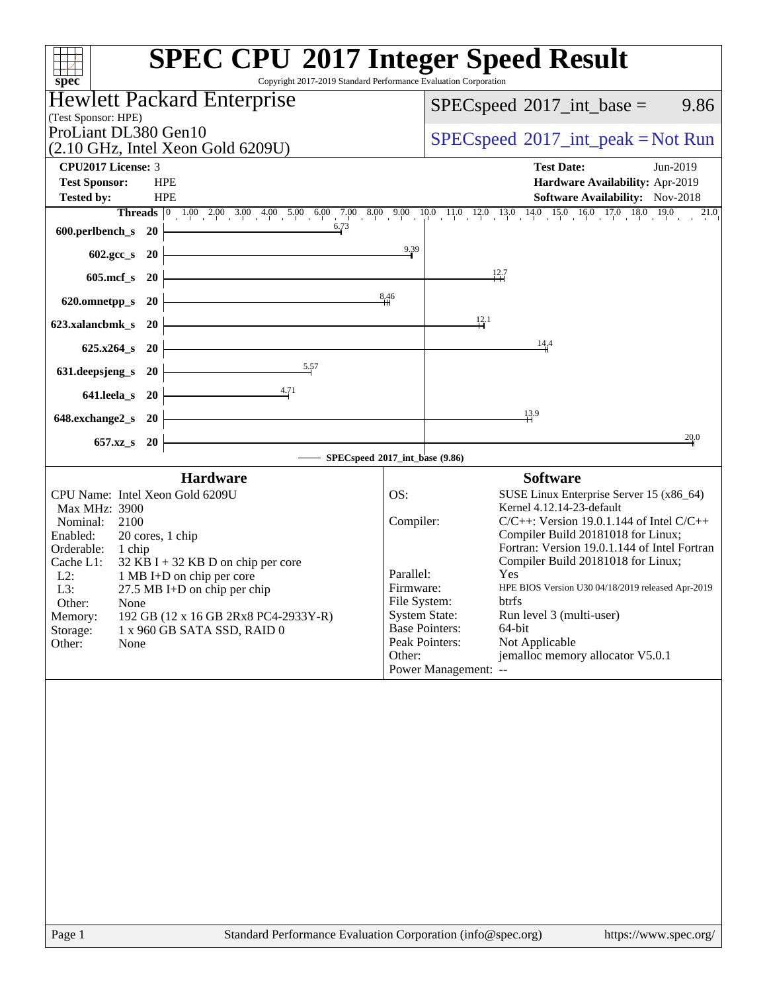| spec <sup>®</sup>                                                                                                                                                                                                                                                                                                                                                                                 | <b>SPEC CPU®2017 Integer Speed Result</b><br>Copyright 2017-2019 Standard Performance Evaluation Corporation                                                                                                                                                                                                                                                                                                                                                                                                                                                                           |
|---------------------------------------------------------------------------------------------------------------------------------------------------------------------------------------------------------------------------------------------------------------------------------------------------------------------------------------------------------------------------------------------------|----------------------------------------------------------------------------------------------------------------------------------------------------------------------------------------------------------------------------------------------------------------------------------------------------------------------------------------------------------------------------------------------------------------------------------------------------------------------------------------------------------------------------------------------------------------------------------------|
| <b>Hewlett Packard Enterprise</b>                                                                                                                                                                                                                                                                                                                                                                 | 9.86<br>$SPEC speed^{\circ}2017\_int\_base =$                                                                                                                                                                                                                                                                                                                                                                                                                                                                                                                                          |
| (Test Sponsor: HPE)<br>ProLiant DL380 Gen10<br>(2.10 GHz, Intel Xeon Gold 6209U)                                                                                                                                                                                                                                                                                                                  | $SPEC speed^{\circ}2017\_int\_peak = Not Run$                                                                                                                                                                                                                                                                                                                                                                                                                                                                                                                                          |
| <b>CPU2017 License: 3</b>                                                                                                                                                                                                                                                                                                                                                                         | <b>Test Date:</b><br>Jun-2019                                                                                                                                                                                                                                                                                                                                                                                                                                                                                                                                                          |
| <b>Test Sponsor:</b><br><b>HPE</b><br><b>Tested by:</b><br><b>HPE</b><br>6.73                                                                                                                                                                                                                                                                                                                     | Hardware Availability: Apr-2019<br><b>Software Availability:</b> Nov-2018<br><b>Threads</b> 0 1.00 2.00 3.00 4.00 5.00 6.00 7.00 8.00 9.00 10.0 11.0 12.0 13.0 14.0 15.0 16.0 17.0 18.0 19.0<br>21.0                                                                                                                                                                                                                                                                                                                                                                                   |
| 600.perlbench_s 20                                                                                                                                                                                                                                                                                                                                                                                | 9.39                                                                                                                                                                                                                                                                                                                                                                                                                                                                                                                                                                                   |
| 602.gcc_s 20<br>$605$ .mcf_s<br><b>20</b>                                                                                                                                                                                                                                                                                                                                                         | $\frac{12.7}{11}$                                                                                                                                                                                                                                                                                                                                                                                                                                                                                                                                                                      |
| 620.omnetpp_s<br><b>20</b>                                                                                                                                                                                                                                                                                                                                                                        | 8,46                                                                                                                                                                                                                                                                                                                                                                                                                                                                                                                                                                                   |
| 623.xalancbmk_s 20                                                                                                                                                                                                                                                                                                                                                                                | $\frac{12}{11}$                                                                                                                                                                                                                                                                                                                                                                                                                                                                                                                                                                        |
| $625.x264_s$ 20                                                                                                                                                                                                                                                                                                                                                                                   | 14,4                                                                                                                                                                                                                                                                                                                                                                                                                                                                                                                                                                                   |
| 5.57<br>631.deepsjeng_s<br><b>20</b>                                                                                                                                                                                                                                                                                                                                                              |                                                                                                                                                                                                                                                                                                                                                                                                                                                                                                                                                                                        |
| 4.71<br>641.leela_s 20                                                                                                                                                                                                                                                                                                                                                                            |                                                                                                                                                                                                                                                                                                                                                                                                                                                                                                                                                                                        |
| 648.exchange2_s 20                                                                                                                                                                                                                                                                                                                                                                                | 13.9                                                                                                                                                                                                                                                                                                                                                                                                                                                                                                                                                                                   |
| 657.xz_s 20                                                                                                                                                                                                                                                                                                                                                                                       | 20.0<br>SPECspeed®2017_int_base (9.86)                                                                                                                                                                                                                                                                                                                                                                                                                                                                                                                                                 |
| <b>Hardware</b>                                                                                                                                                                                                                                                                                                                                                                                   | <b>Software</b>                                                                                                                                                                                                                                                                                                                                                                                                                                                                                                                                                                        |
| CPU Name: Intel Xeon Gold 6209U<br>Max MHz: 3900<br>2100<br>Nominal:<br>Enabled:<br>20 cores, 1 chip<br>Orderable:<br>1 chip<br>Cache L1:<br>$32$ KB I + 32 KB D on chip per core<br>$L2$ :<br>1 MB I+D on chip per core<br>L3:<br>27.5 MB I+D on chip per chip<br>Other:<br>None<br>Memory:<br>192 GB (12 x 16 GB 2Rx8 PC4-2933Y-R)<br>Storage:<br>1 x 960 GB SATA SSD, RAID 0<br>Other:<br>None | OS:<br>SUSE Linux Enterprise Server 15 (x86_64)<br>Kernel 4.12.14-23-default<br>Compiler:<br>$C/C++$ : Version 19.0.1.144 of Intel $C/C++$<br>Compiler Build 20181018 for Linux;<br>Fortran: Version 19.0.1.144 of Intel Fortran<br>Compiler Build 20181018 for Linux;<br>Parallel:<br>Yes<br>HPE BIOS Version U30 04/18/2019 released Apr-2019<br>Firmware:<br>File System:<br>btrfs<br><b>System State:</b><br>Run level 3 (multi-user)<br><b>Base Pointers:</b><br>64-bit<br>Peak Pointers:<br>Not Applicable<br>jemalloc memory allocator V5.0.1<br>Other:<br>Power Management: -- |
| Page 1                                                                                                                                                                                                                                                                                                                                                                                            | Standard Performance Evaluation Corporation (info@spec.org)<br>https://www.spec.org/                                                                                                                                                                                                                                                                                                                                                                                                                                                                                                   |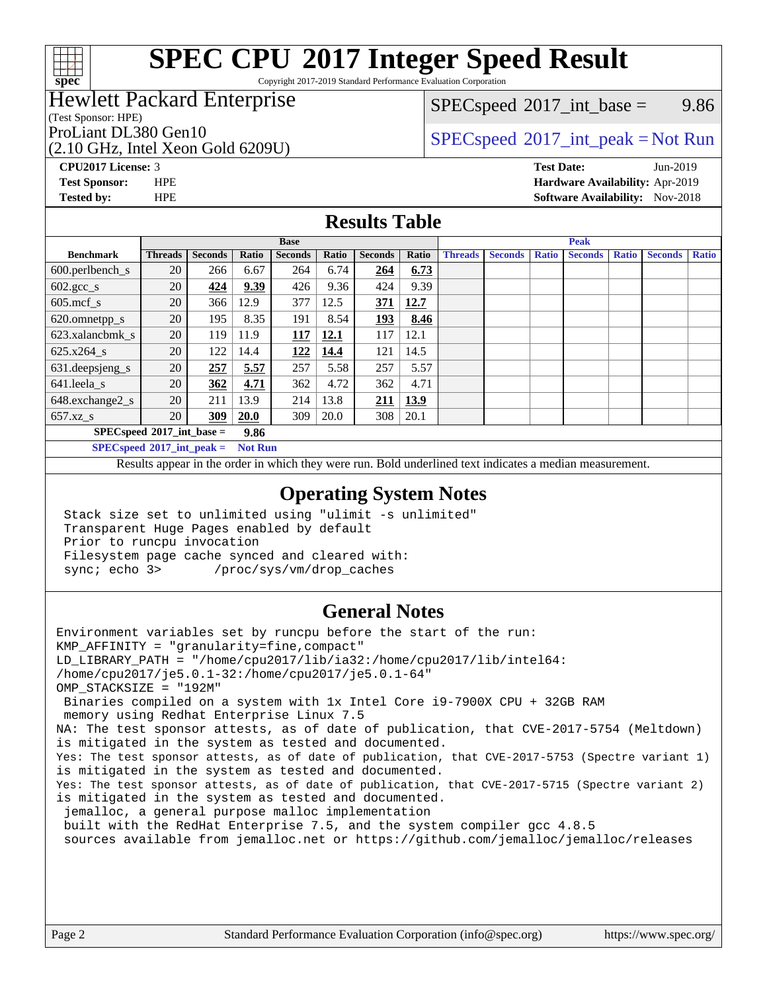

Copyright 2017-2019 Standard Performance Evaluation Corporation

## Hewlett Packard Enterprise

(Test Sponsor: HPE)

(2.10 GHz, Intel Xeon Gold 6209U)

 $SPECspeed^{\circ}2017\_int\_base =$  $SPECspeed^{\circ}2017\_int\_base =$  9.86

## ProLiant DL380 Gen10<br>  $SPEC speed^{\circ}2017\_int\_peak = Not Run$

**[Tested by:](http://www.spec.org/auto/cpu2017/Docs/result-fields.html#Testedby)** HPE **[Software Availability:](http://www.spec.org/auto/cpu2017/Docs/result-fields.html#SoftwareAvailability)** Nov-2018

**[CPU2017 License:](http://www.spec.org/auto/cpu2017/Docs/result-fields.html#CPU2017License)** 3 **[Test Date:](http://www.spec.org/auto/cpu2017/Docs/result-fields.html#TestDate)** Jun-2019 **[Test Sponsor:](http://www.spec.org/auto/cpu2017/Docs/result-fields.html#TestSponsor)** HPE **[Hardware Availability:](http://www.spec.org/auto/cpu2017/Docs/result-fields.html#HardwareAvailability)** Apr-2019

### **[Results Table](http://www.spec.org/auto/cpu2017/Docs/result-fields.html#ResultsTable)**

|                             |                |                |       | <b>Base</b>    |       |                |       |                |                |              | <b>Peak</b>    |              |                |              |
|-----------------------------|----------------|----------------|-------|----------------|-------|----------------|-------|----------------|----------------|--------------|----------------|--------------|----------------|--------------|
| <b>Benchmark</b>            | <b>Threads</b> | <b>Seconds</b> | Ratio | <b>Seconds</b> | Ratio | <b>Seconds</b> | Ratio | <b>Threads</b> | <b>Seconds</b> | <b>Ratio</b> | <b>Seconds</b> | <b>Ratio</b> | <b>Seconds</b> | <b>Ratio</b> |
| $600.$ perlbench_s          | 20             | 266            | 6.67  | 264            | 6.74  | 264            | 6.73  |                |                |              |                |              |                |              |
| $602.\text{gcc}\_\text{s}$  | 20             | 424            | 9.39  | 426            | 9.36  | 424            | 9.39  |                |                |              |                |              |                |              |
| $605$ .mcf s                | 20             | 366            | 12.9  | 377            | 12.5  | 371            | 12.7  |                |                |              |                |              |                |              |
| 620.omnetpp_s               | 20             | 195            | 8.35  | 191            | 8.54  | <u>193</u>     | 8.46  |                |                |              |                |              |                |              |
| 623.xalancbmk s             | 20             | 119            | 11.9  | 117            | 12.1  | 117            | 12.1  |                |                |              |                |              |                |              |
| $625.x264$ s                | 20             | 122            | 14.4  | 122            | 14.4  | 121            | 14.5  |                |                |              |                |              |                |              |
| 631.deepsjeng_s             | 20             | 257            | 5.57  | 257            | 5.58  | 257            | 5.57  |                |                |              |                |              |                |              |
| 641.leela s                 | 20             | 362            | 4.71  | 362            | 4.72  | 362            | 4.71  |                |                |              |                |              |                |              |
| 648.exchange2_s             | 20             | 211            | 13.9  | 214            | 13.8  | 211            | 13.9  |                |                |              |                |              |                |              |
| $657.xz$ s                  | 20             | 309            | 20.0  | 309            | 20.0  | 308            | 20.1  |                |                |              |                |              |                |              |
| $SPECspeed*2017$ int base = |                |                | 9.86  |                |       |                |       |                |                |              |                |              |                |              |

**[SPECspeed](http://www.spec.org/auto/cpu2017/Docs/result-fields.html#SPECspeed2017intpeak)[2017\\_int\\_peak =](http://www.spec.org/auto/cpu2017/Docs/result-fields.html#SPECspeed2017intpeak) Not Run**

Results appear in the [order in which they were run.](http://www.spec.org/auto/cpu2017/Docs/result-fields.html#RunOrder) Bold underlined text [indicates a median measurement.](http://www.spec.org/auto/cpu2017/Docs/result-fields.html#Median)

### **[Operating System Notes](http://www.spec.org/auto/cpu2017/Docs/result-fields.html#OperatingSystemNotes)**

 Stack size set to unlimited using "ulimit -s unlimited" Transparent Huge Pages enabled by default Prior to runcpu invocation Filesystem page cache synced and cleared with: sync; echo 3> /proc/sys/vm/drop\_caches

### **[General Notes](http://www.spec.org/auto/cpu2017/Docs/result-fields.html#GeneralNotes)**

Environment variables set by runcpu before the start of the run: KMP\_AFFINITY = "granularity=fine,compact" LD\_LIBRARY\_PATH = "/home/cpu2017/lib/ia32:/home/cpu2017/lib/intel64: /home/cpu2017/je5.0.1-32:/home/cpu2017/je5.0.1-64" OMP\_STACKSIZE = "192M" Binaries compiled on a system with 1x Intel Core i9-7900X CPU + 32GB RAM memory using Redhat Enterprise Linux 7.5 NA: The test sponsor attests, as of date of publication, that CVE-2017-5754 (Meltdown) is mitigated in the system as tested and documented. Yes: The test sponsor attests, as of date of publication, that CVE-2017-5753 (Spectre variant 1) is mitigated in the system as tested and documented. Yes: The test sponsor attests, as of date of publication, that CVE-2017-5715 (Spectre variant 2) is mitigated in the system as tested and documented. jemalloc, a general purpose malloc implementation built with the RedHat Enterprise 7.5, and the system compiler gcc 4.8.5 sources available from jemalloc.net or<https://github.com/jemalloc/jemalloc/releases>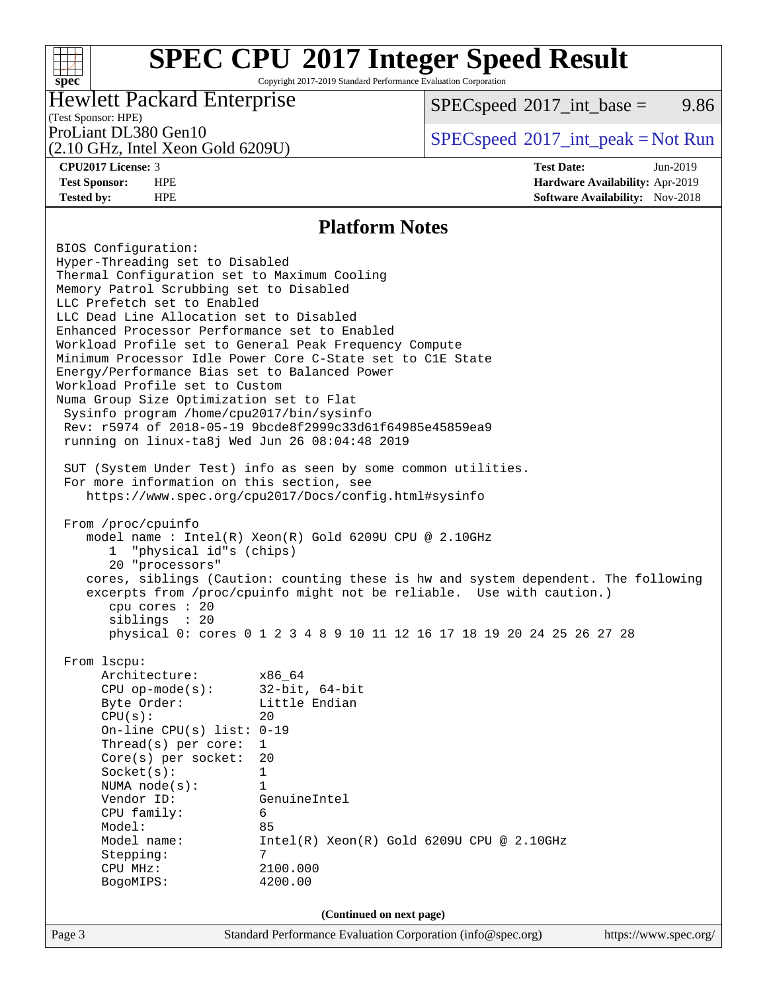## **[SPEC CPU](http://www.spec.org/auto/cpu2017/Docs/result-fields.html#SPECCPU2017IntegerSpeedResult)[2017 Integer Speed Result](http://www.spec.org/auto/cpu2017/Docs/result-fields.html#SPECCPU2017IntegerSpeedResult)** Copyright 2017-2019 Standard Performance Evaluation Corporation

## Hewlett Packard Enterprise

 $SPECspeed^{\circ}2017\_int\_base =$  $SPECspeed^{\circ}2017\_int\_base =$  9.86

## (Test Sponsor: HPE)

(2.10 GHz, Intel Xeon Gold 6209U)

ProLiant DL380 Gen10  $SPECspeed^{\circ}2017\_int\_peak = Not Run$  $SPECspeed^{\circ}2017\_int\_peak = Not Run$ 

**[spec](http://www.spec.org/)**

 $+\hskip -1.5pt +\hskip -1.5pt +$ 

**[CPU2017 License:](http://www.spec.org/auto/cpu2017/Docs/result-fields.html#CPU2017License)** 3 **[Test Date:](http://www.spec.org/auto/cpu2017/Docs/result-fields.html#TestDate)** Jun-2019 **[Test Sponsor:](http://www.spec.org/auto/cpu2017/Docs/result-fields.html#TestSponsor)** HPE **[Hardware Availability:](http://www.spec.org/auto/cpu2017/Docs/result-fields.html#HardwareAvailability)** Apr-2019 **[Tested by:](http://www.spec.org/auto/cpu2017/Docs/result-fields.html#Testedby)** HPE **[Software Availability:](http://www.spec.org/auto/cpu2017/Docs/result-fields.html#SoftwareAvailability)** Nov-2018

### **[Platform Notes](http://www.spec.org/auto/cpu2017/Docs/result-fields.html#PlatformNotes)**

Page 3 Standard Performance Evaluation Corporation [\(info@spec.org\)](mailto:info@spec.org) <https://www.spec.org/> BIOS Configuration: Hyper-Threading set to Disabled Thermal Configuration set to Maximum Cooling Memory Patrol Scrubbing set to Disabled LLC Prefetch set to Enabled LLC Dead Line Allocation set to Disabled Enhanced Processor Performance set to Enabled Workload Profile set to General Peak Frequency Compute Minimum Processor Idle Power Core C-State set to C1E State Energy/Performance Bias set to Balanced Power Workload Profile set to Custom Numa Group Size Optimization set to Flat Sysinfo program /home/cpu2017/bin/sysinfo Rev: r5974 of 2018-05-19 9bcde8f2999c33d61f64985e45859ea9 running on linux-ta8j Wed Jun 26 08:04:48 2019 SUT (System Under Test) info as seen by some common utilities. For more information on this section, see <https://www.spec.org/cpu2017/Docs/config.html#sysinfo> From /proc/cpuinfo model name : Intel(R) Xeon(R) Gold 6209U CPU @ 2.10GHz 1 "physical id"s (chips) 20 "processors" cores, siblings (Caution: counting these is hw and system dependent. The following excerpts from /proc/cpuinfo might not be reliable. Use with caution.) cpu cores : 20 siblings : 20 physical 0: cores 0 1 2 3 4 8 9 10 11 12 16 17 18 19 20 24 25 26 27 28 From lscpu: Architecture: x86\_64 CPU op-mode(s): 32-bit, 64-bit Byte Order: Little Endian  $CPU(s):$  20 On-line CPU(s) list: 0-19 Thread(s) per core: 1 Core(s) per socket: 20 Socket(s): 1 NUMA node(s): 1 Vendor ID: GenuineIntel CPU family: 6 Model: 85 Model name: Intel(R) Xeon(R) Gold 6209U CPU @ 2.10GHz Stepping: 7 CPU MHz: 2100.000 BogoMIPS: 4200.00 **(Continued on next page)**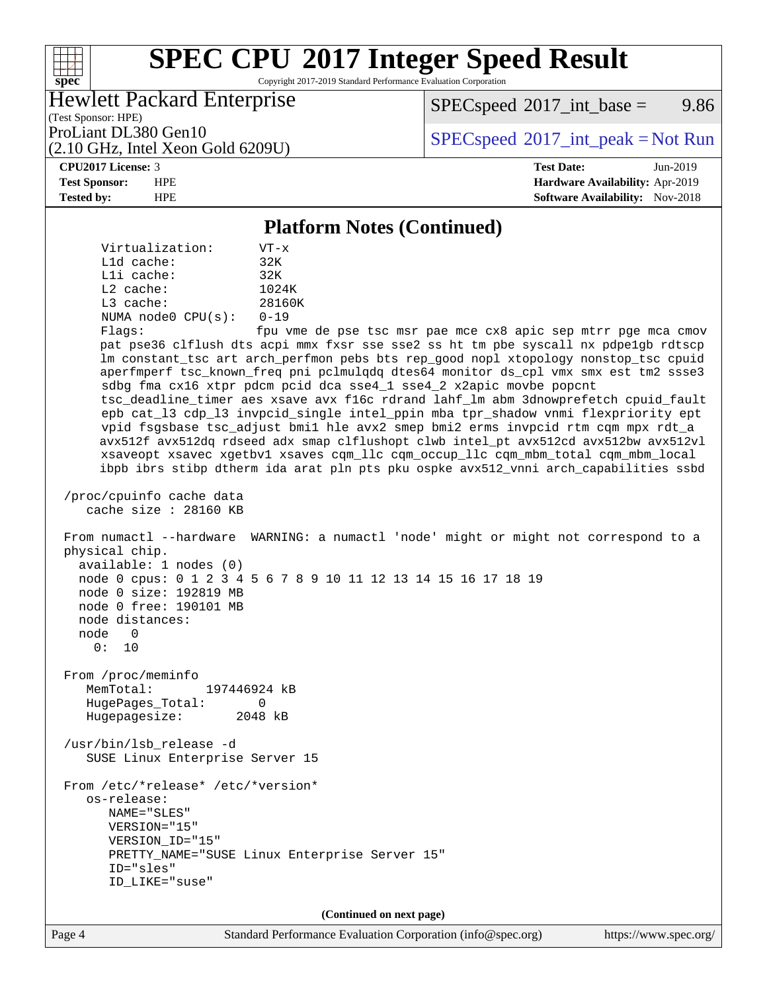Copyright 2017-2019 Standard Performance Evaluation Corporation

## Hewlett Packard Enterprise

 $SPECspeed^{\circ}2017\_int\_base =$  $SPECspeed^{\circ}2017\_int\_base =$  9.86

(Test Sponsor: HPE)

(2.10 GHz, Intel Xeon Gold 6209U)

ProLiant DL380 Gen10<br>  $SPEC speed^{\circ}2017\_int\_peak = Not Run$ 

**[spec](http://www.spec.org/)**

 $+\!\!+\!\!$ 

**[CPU2017 License:](http://www.spec.org/auto/cpu2017/Docs/result-fields.html#CPU2017License)** 3 **[Test Date:](http://www.spec.org/auto/cpu2017/Docs/result-fields.html#TestDate)** Jun-2019 **[Test Sponsor:](http://www.spec.org/auto/cpu2017/Docs/result-fields.html#TestSponsor)** HPE **[Hardware Availability:](http://www.spec.org/auto/cpu2017/Docs/result-fields.html#HardwareAvailability)** Apr-2019 **[Tested by:](http://www.spec.org/auto/cpu2017/Docs/result-fields.html#Testedby)** HPE **[Software Availability:](http://www.spec.org/auto/cpu2017/Docs/result-fields.html#SoftwareAvailability)** Nov-2018

### **[Platform Notes \(Continued\)](http://www.spec.org/auto/cpu2017/Docs/result-fields.html#PlatformNotes)**

| Virtualization:         | $VT - x$                 |
|-------------------------|--------------------------|
| $L1d$ cache:            | 32K                      |
| $L1i$ cache:            | 32K                      |
| $L2$ cache:             | 1024K                    |
| $L3$ cache:             | 28160K                   |
| NUMA $node0$ $CPU(s)$ : | $0 - 19$                 |
|                         | $\overline{\phantom{0}}$ |

 Flags: fpu vme de pse tsc msr pae mce cx8 apic sep mtrr pge mca cmov pat pse36 clflush dts acpi mmx fxsr sse sse2 ss ht tm pbe syscall nx pdpe1gb rdtscp lm constant\_tsc art arch\_perfmon pebs bts rep\_good nopl xtopology nonstop\_tsc cpuid aperfmperf tsc\_known\_freq pni pclmulqdq dtes64 monitor ds\_cpl vmx smx est tm2 ssse3 sdbg fma cx16 xtpr pdcm pcid dca sse4\_1 sse4\_2 x2apic movbe popcnt tsc\_deadline\_timer aes xsave avx f16c rdrand lahf\_lm abm 3dnowprefetch cpuid\_fault epb cat\_l3 cdp\_l3 invpcid\_single intel\_ppin mba tpr\_shadow vnmi flexpriority ept vpid fsgsbase tsc\_adjust bmi1 hle avx2 smep bmi2 erms invpcid rtm cqm mpx rdt\_a avx512f avx512dq rdseed adx smap clflushopt clwb intel\_pt avx512cd avx512bw avx512vl xsaveopt xsavec xgetbv1 xsaves cqm\_llc cqm\_occup\_llc cqm\_mbm\_total cqm\_mbm\_local ibpb ibrs stibp dtherm ida arat pln pts pku ospke avx512\_vnni arch\_capabilities ssbd

 /proc/cpuinfo cache data cache size : 28160 KB

 From numactl --hardware WARNING: a numactl 'node' might or might not correspond to a physical chip. available: 1 nodes (0) node 0 cpus: 0 1 2 3 4 5 6 7 8 9 10 11 12 13 14 15 16 17 18 19 node 0 size: 192819 MB node 0 free: 190101 MB

 node distances: node 0 0: 10

 From /proc/meminfo MemTotal: 197446924 kB HugePages\_Total: 0 Hugepagesize: 2048 kB

 /usr/bin/lsb\_release -d SUSE Linux Enterprise Server 15

 From /etc/\*release\* /etc/\*version\* os-release: NAME="SLES" VERSION="15" VERSION\_ID="15" PRETTY\_NAME="SUSE Linux Enterprise Server 15" ID="sles" ID\_LIKE="suse"

**(Continued on next page)**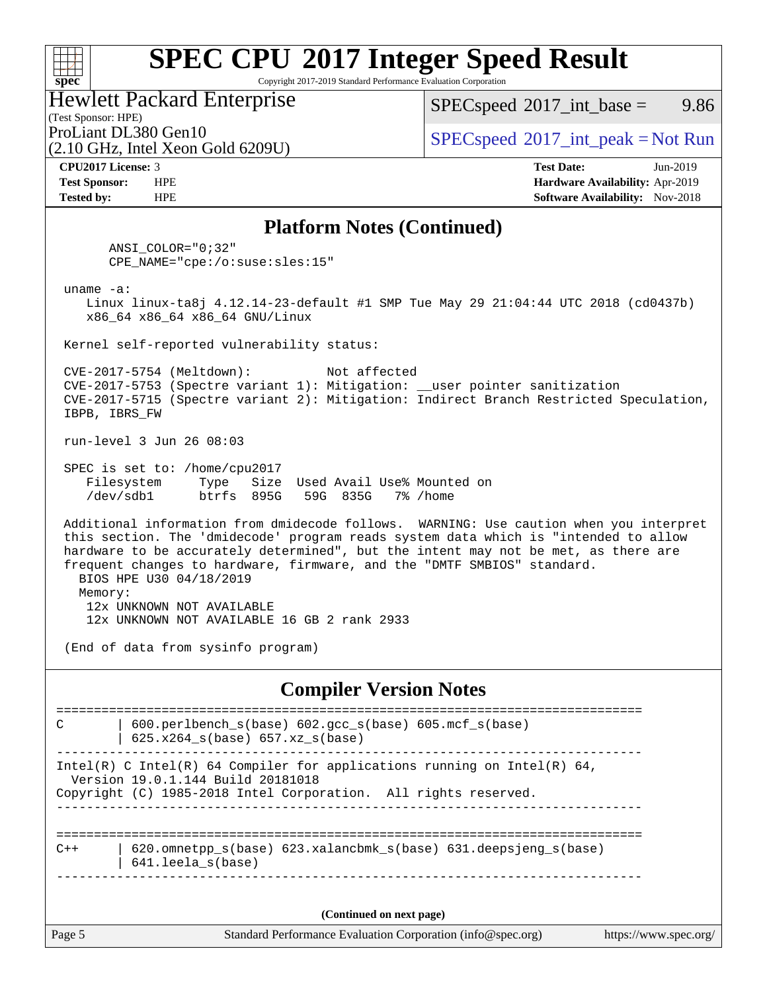Copyright 2017-2019 Standard Performance Evaluation Corporation

|  | <b>Hewlett Packard Enterprise</b> |  |
|--|-----------------------------------|--|
|  |                                   |  |

(2.10 GHz, Intel Xeon Gold 6209U)

 $SPECspeed^{\circ}2017\_int\_base =$  $SPECspeed^{\circ}2017\_int\_base =$  9.86

(Test Sponsor: HPE)

ProLiant DL380 Gen10<br>  $SPEC speed^{\circ}2017\_int\_peak = Not Run$ 

**[spec](http://www.spec.org/)**

 $+\ +$ 

**[CPU2017 License:](http://www.spec.org/auto/cpu2017/Docs/result-fields.html#CPU2017License)** 3 **[Test Date:](http://www.spec.org/auto/cpu2017/Docs/result-fields.html#TestDate)** Jun-2019 **[Test Sponsor:](http://www.spec.org/auto/cpu2017/Docs/result-fields.html#TestSponsor)** HPE **[Hardware Availability:](http://www.spec.org/auto/cpu2017/Docs/result-fields.html#HardwareAvailability)** Apr-2019 **[Tested by:](http://www.spec.org/auto/cpu2017/Docs/result-fields.html#Testedby)** HPE **[Software Availability:](http://www.spec.org/auto/cpu2017/Docs/result-fields.html#SoftwareAvailability)** Nov-2018

### **[Platform Notes \(Continued\)](http://www.spec.org/auto/cpu2017/Docs/result-fields.html#PlatformNotes)**

 ANSI\_COLOR="0;32" CPE\_NAME="cpe:/o:suse:sles:15"

uname -a:

 Linux linux-ta8j 4.12.14-23-default #1 SMP Tue May 29 21:04:44 UTC 2018 (cd0437b) x86\_64 x86\_64 x86\_64 GNU/Linux

Kernel self-reported vulnerability status:

 CVE-2017-5754 (Meltdown): Not affected CVE-2017-5753 (Spectre variant 1): Mitigation: \_\_user pointer sanitization CVE-2017-5715 (Spectre variant 2): Mitigation: Indirect Branch Restricted Speculation, IBPB, IBRS\_FW

run-level 3 Jun 26 08:03

 SPEC is set to: /home/cpu2017 Filesystem Type Size Used Avail Use% Mounted on /dev/sdb1 btrfs 895G 59G 835G 7% /home

 Additional information from dmidecode follows. WARNING: Use caution when you interpret this section. The 'dmidecode' program reads system data which is "intended to allow hardware to be accurately determined", but the intent may not be met, as there are frequent changes to hardware, firmware, and the "DMTF SMBIOS" standard. BIOS HPE U30 04/18/2019

 Memory: 12x UNKNOWN NOT AVAILABLE 12x UNKNOWN NOT AVAILABLE 16 GB 2 rank 2933

(End of data from sysinfo program)

### **[Compiler Version Notes](http://www.spec.org/auto/cpu2017/Docs/result-fields.html#CompilerVersionNotes)**

Page 5 Standard Performance Evaluation Corporation [\(info@spec.org\)](mailto:info@spec.org) <https://www.spec.org/> ============================================================================== C | 600.perlbench\_s(base) 602.gcc\_s(base) 605.mcf\_s(base) | 625.x264\_s(base) 657.xz\_s(base) ------------------------------------------------------------------------------ Intel(R) C Intel(R) 64 Compiler for applications running on Intel(R)  $64$ , Version 19.0.1.144 Build 20181018 Copyright (C) 1985-2018 Intel Corporation. All rights reserved. ------------------------------------------------------------------------------ ============================================================================== C++ | 620.omnetpp\_s(base) 623.xalancbmk\_s(base) 631.deepsjeng\_s(base) | 641.leela\_s(base) ------------------------------------------------------------------------------ **(Continued on next page)**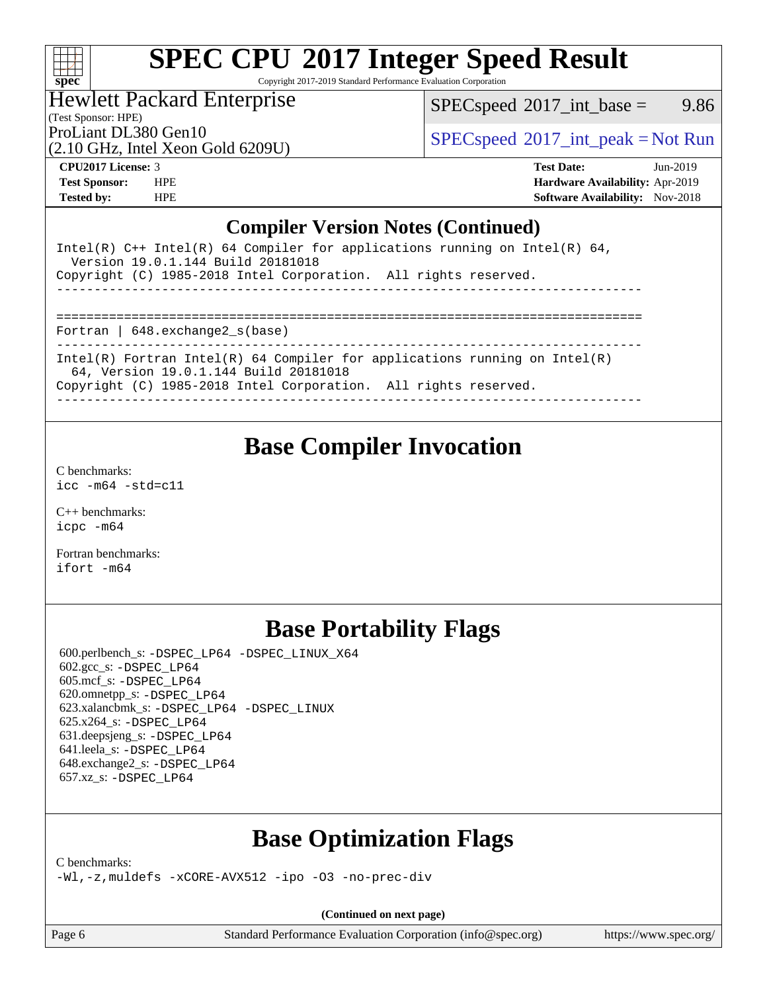

Copyright 2017-2019 Standard Performance Evaluation Corporation

Hewlett Packard Enterprise

 $SPEC speed^{\circ}2017\_int\_base =$  9.86

(Test Sponsor: HPE)

(2.10 GHz, Intel Xeon Gold 6209U)

ProLiant DL380 Gen10<br>  $SPECspeed^{\circ}2017\_int\_peak = Not Run$  $SPECspeed^{\circ}2017\_int\_peak = Not Run$ 

**[CPU2017 License:](http://www.spec.org/auto/cpu2017/Docs/result-fields.html#CPU2017License)** 3 **[Test Date:](http://www.spec.org/auto/cpu2017/Docs/result-fields.html#TestDate)** Jun-2019 **[Test Sponsor:](http://www.spec.org/auto/cpu2017/Docs/result-fields.html#TestSponsor)** HPE **[Hardware Availability:](http://www.spec.org/auto/cpu2017/Docs/result-fields.html#HardwareAvailability)** Apr-2019 **[Tested by:](http://www.spec.org/auto/cpu2017/Docs/result-fields.html#Testedby)** HPE **[Software Availability:](http://www.spec.org/auto/cpu2017/Docs/result-fields.html#SoftwareAvailability)** Nov-2018

### **[Compiler Version Notes \(Continued\)](http://www.spec.org/auto/cpu2017/Docs/result-fields.html#CompilerVersionNotes)**

| Intel(R) $C++$ Intel(R) 64 Compiler for applications running on Intel(R) 64,<br>Version 19.0.1.144 Build 20181018   |
|---------------------------------------------------------------------------------------------------------------------|
| Copyright (C) 1985-2018 Intel Corporation. All rights reserved.                                                     |
|                                                                                                                     |
| Fortran   $648$ . exchange2 $s$ (base)                                                                              |
| Intel(R) Fortran Intel(R) 64 Compiler for applications running on Intel(R)<br>64, Version 19.0.1.144 Build 20181018 |
| Copyright (C) 1985-2018 Intel Corporation. All rights reserved.                                                     |

## **[Base Compiler Invocation](http://www.spec.org/auto/cpu2017/Docs/result-fields.html#BaseCompilerInvocation)**

[C benchmarks](http://www.spec.org/auto/cpu2017/Docs/result-fields.html#Cbenchmarks): [icc -m64 -std=c11](http://www.spec.org/cpu2017/results/res2019q4/cpu2017-20190819-17145.flags.html#user_CCbase_intel_icc_64bit_c11_33ee0cdaae7deeeab2a9725423ba97205ce30f63b9926c2519791662299b76a0318f32ddfffdc46587804de3178b4f9328c46fa7c2b0cd779d7a61945c91cd35)

[C++ benchmarks:](http://www.spec.org/auto/cpu2017/Docs/result-fields.html#CXXbenchmarks) [icpc -m64](http://www.spec.org/cpu2017/results/res2019q4/cpu2017-20190819-17145.flags.html#user_CXXbase_intel_icpc_64bit_4ecb2543ae3f1412ef961e0650ca070fec7b7afdcd6ed48761b84423119d1bf6bdf5cad15b44d48e7256388bc77273b966e5eb805aefd121eb22e9299b2ec9d9)

[Fortran benchmarks](http://www.spec.org/auto/cpu2017/Docs/result-fields.html#Fortranbenchmarks): [ifort -m64](http://www.spec.org/cpu2017/results/res2019q4/cpu2017-20190819-17145.flags.html#user_FCbase_intel_ifort_64bit_24f2bb282fbaeffd6157abe4f878425411749daecae9a33200eee2bee2fe76f3b89351d69a8130dd5949958ce389cf37ff59a95e7a40d588e8d3a57e0c3fd751)

## **[Base Portability Flags](http://www.spec.org/auto/cpu2017/Docs/result-fields.html#BasePortabilityFlags)**

 600.perlbench\_s: [-DSPEC\\_LP64](http://www.spec.org/cpu2017/results/res2019q4/cpu2017-20190819-17145.flags.html#b600.perlbench_s_basePORTABILITY_DSPEC_LP64) [-DSPEC\\_LINUX\\_X64](http://www.spec.org/cpu2017/results/res2019q4/cpu2017-20190819-17145.flags.html#b600.perlbench_s_baseCPORTABILITY_DSPEC_LINUX_X64) 602.gcc\_s: [-DSPEC\\_LP64](http://www.spec.org/cpu2017/results/res2019q4/cpu2017-20190819-17145.flags.html#suite_basePORTABILITY602_gcc_s_DSPEC_LP64) 605.mcf\_s: [-DSPEC\\_LP64](http://www.spec.org/cpu2017/results/res2019q4/cpu2017-20190819-17145.flags.html#suite_basePORTABILITY605_mcf_s_DSPEC_LP64) 620.omnetpp\_s: [-DSPEC\\_LP64](http://www.spec.org/cpu2017/results/res2019q4/cpu2017-20190819-17145.flags.html#suite_basePORTABILITY620_omnetpp_s_DSPEC_LP64) 623.xalancbmk\_s: [-DSPEC\\_LP64](http://www.spec.org/cpu2017/results/res2019q4/cpu2017-20190819-17145.flags.html#suite_basePORTABILITY623_xalancbmk_s_DSPEC_LP64) [-DSPEC\\_LINUX](http://www.spec.org/cpu2017/results/res2019q4/cpu2017-20190819-17145.flags.html#b623.xalancbmk_s_baseCXXPORTABILITY_DSPEC_LINUX) 625.x264\_s: [-DSPEC\\_LP64](http://www.spec.org/cpu2017/results/res2019q4/cpu2017-20190819-17145.flags.html#suite_basePORTABILITY625_x264_s_DSPEC_LP64) 631.deepsjeng\_s: [-DSPEC\\_LP64](http://www.spec.org/cpu2017/results/res2019q4/cpu2017-20190819-17145.flags.html#suite_basePORTABILITY631_deepsjeng_s_DSPEC_LP64) 641.leela\_s: [-DSPEC\\_LP64](http://www.spec.org/cpu2017/results/res2019q4/cpu2017-20190819-17145.flags.html#suite_basePORTABILITY641_leela_s_DSPEC_LP64) 648.exchange2\_s: [-DSPEC\\_LP64](http://www.spec.org/cpu2017/results/res2019q4/cpu2017-20190819-17145.flags.html#suite_basePORTABILITY648_exchange2_s_DSPEC_LP64) 657.xz\_s: [-DSPEC\\_LP64](http://www.spec.org/cpu2017/results/res2019q4/cpu2017-20190819-17145.flags.html#suite_basePORTABILITY657_xz_s_DSPEC_LP64)

## **[Base Optimization Flags](http://www.spec.org/auto/cpu2017/Docs/result-fields.html#BaseOptimizationFlags)**

[C benchmarks](http://www.spec.org/auto/cpu2017/Docs/result-fields.html#Cbenchmarks):

[-Wl,-z,muldefs](http://www.spec.org/cpu2017/results/res2019q4/cpu2017-20190819-17145.flags.html#user_CCbase_link_force_multiple1_b4cbdb97b34bdee9ceefcfe54f4c8ea74255f0b02a4b23e853cdb0e18eb4525ac79b5a88067c842dd0ee6996c24547a27a4b99331201badda8798ef8a743f577) [-xCORE-AVX512](http://www.spec.org/cpu2017/results/res2019q4/cpu2017-20190819-17145.flags.html#user_CCbase_f-xCORE-AVX512) [-ipo](http://www.spec.org/cpu2017/results/res2019q4/cpu2017-20190819-17145.flags.html#user_CCbase_f-ipo) [-O3](http://www.spec.org/cpu2017/results/res2019q4/cpu2017-20190819-17145.flags.html#user_CCbase_f-O3) [-no-prec-div](http://www.spec.org/cpu2017/results/res2019q4/cpu2017-20190819-17145.flags.html#user_CCbase_f-no-prec-div)

**(Continued on next page)**

Page 6 Standard Performance Evaluation Corporation [\(info@spec.org\)](mailto:info@spec.org) <https://www.spec.org/>